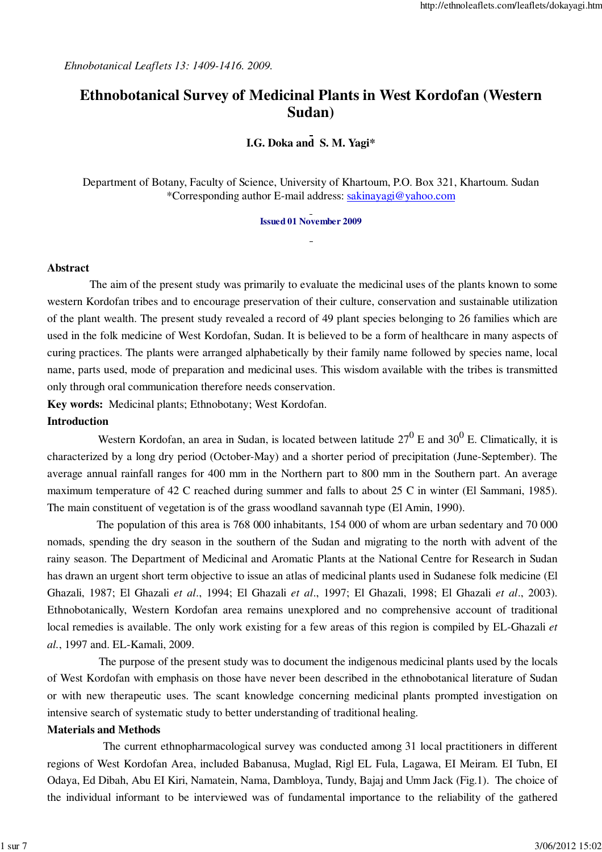*Ehnobotanical Leaflets 13: 1409-1416. 2009.*

# **Ethnobotanical Survey of Medicinal Plants in West Kordofan (Western Sudan)**

**I.G. Doka and S. M. Yagi\***

Department of Botany, Faculty of Science, University of Khartoum, P.O. Box 321, Khartoum. Sudan \*Corresponding author E-mail address: sakinayagi@yahoo.com

## **Issued 01 November 2009**

### **Abstract**

 The aim of the present study was primarily to evaluate the medicinal uses of the plants known to some western Kordofan tribes and to encourage preservation of their culture, conservation and sustainable utilization of the plant wealth. The present study revealed a record of 49 plant species belonging to 26 families which are used in the folk medicine of West Kordofan, Sudan. It is believed to be a form of healthcare in many aspects of curing practices. The plants were arranged alphabetically by their family name followed by species name, local name, parts used, mode of preparation and medicinal uses. This wisdom available with the tribes is transmitted only through oral communication therefore needs conservation.

**Key words:** Medicinal plants; Ethnobotany; West Kordofan.

#### **Introduction**

Western Kordofan, an area in Sudan, is located between latitude  $27^0$  E and  $30^0$  E. Climatically, it is characterized by a long dry period (October-May) and a shorter period of precipitation (June-September). The average annual rainfall ranges for 400 mm in the Northern part to 800 mm in the Southern part. An average maximum temperature of 42 C reached during summer and falls to about 25 C in winter (El Sammani, 1985). The main constituent of vegetation is of the grass woodland savannah type (El Amin, 1990).

 The population of this area is 768 000 inhabitants, 154 000 of whom are urban sedentary and 70 000 nomads, spending the dry season in the southern of the Sudan and migrating to the north with advent of the rainy season. The Department of Medicinal and Aromatic Plants at the National Centre for Research in Sudan has drawn an urgent short term objective to issue an atlas of medicinal plants used in Sudanese folk medicine (El Ghazali, 1987; El Ghazali *et al*., 1994; El Ghazali *et al*., 1997; El Ghazali, 1998; El Ghazali *et al*., 2003). Ethnobotanically, Western Kordofan area remains unexplored and no comprehensive account of traditional local remedies is available. The only work existing for a few areas of this region is compiled by EL-Ghazali *et al.*, 1997 and. EL-Kamali, 2009.

 The purpose of the present study was to document the indigenous medicinal plants used by the locals of West Kordofan with emphasis on those have never been described in the ethnobotanical literature of Sudan or with new therapeutic uses. The scant knowledge concerning medicinal plants prompted investigation on intensive search of systematic study to better understanding of traditional healing.

#### **Materials and Methods**

 The current ethnopharmacological survey was conducted among 31 local practitioners in different regions of West Kordofan Area, included Babanusa, Muglad, Rigl EL Fula, Lagawa, EI Meiram. EI Tubn, EI Odaya, Ed Dibah, Abu EI Kiri, Namatein, Nama, Dambloya, Tundy, Bajaj and Umm Jack (Fig.1). The choice of the individual informant to be interviewed was of fundamental importance to the reliability of the gathered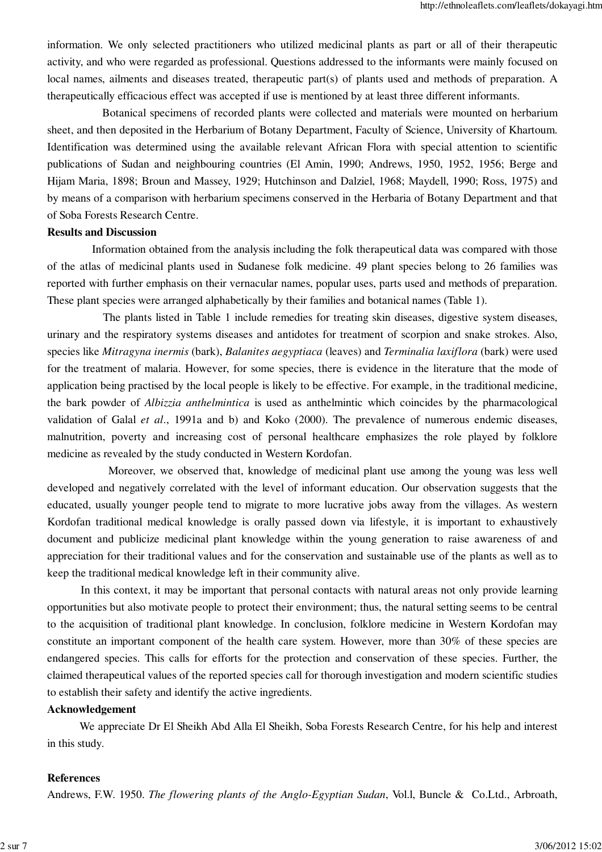information. We only selected practitioners who utilized medicinal plants as part or all of their therapeutic activity, and who were regarded as professional. Questions addressed to the informants were mainly focused on local names, ailments and diseases treated, therapeutic part(s) of plants used and methods of preparation. A therapeutically efficacious effect was accepted if use is mentioned by at least three different informants.

 Botanical specimens of recorded plants were collected and materials were mounted on herbarium sheet, and then deposited in the Herbarium of Botany Department, Faculty of Science, University of Khartoum. Identification was determined using the available relevant African Flora with special attention to scientific publications of Sudan and neighbouring countries (El Amin, 1990; Andrews, 1950, 1952, 1956; Berge and Hijam Maria, 1898; Broun and Massey, 1929; Hutchinson and Dalziel, 1968; Maydell, 1990; Ross, 1975) and by means of a comparison with herbarium specimens conserved in the Herbaria of Botany Department and that of Soba Forests Research Centre.

#### **Results and Discussion**

Information obtained from the analysis including the folk therapeutical data was compared with those of the atlas of medicinal plants used in Sudanese folk medicine. 49 plant species belong to 26 families was reported with further emphasis on their vernacular names, popular uses, parts used and methods of preparation. These plant species were arranged alphabetically by their families and botanical names (Table 1).

 The plants listed in Table 1 include remedies for treating skin diseases, digestive system diseases, urinary and the respiratory systems diseases and antidotes for treatment of scorpion and snake strokes. Also, species like *Mitragyna inermis* (bark), *Balanites aegyptiaca* (leaves) and *Terminalia laxiflora* (bark) were used for the treatment of malaria. However, for some species, there is evidence in the literature that the mode of application being practised by the local people is likely to be effective. For example, in the traditional medicine, the bark powder of *Albizzia anthelmintica* is used as anthelmintic which coincides by the pharmacological validation of Galal *et al*., 1991a and b) and Koko (2000). The prevalence of numerous endemic diseases, malnutrition, poverty and increasing cost of personal healthcare emphasizes the role played by folklore medicine as revealed by the study conducted in Western Kordofan.

 Moreover, we observed that, knowledge of medicinal plant use among the young was less well developed and negatively correlated with the level of informant education. Our observation suggests that the educated, usually younger people tend to migrate to more lucrative jobs away from the villages. As western Kordofan traditional medical knowledge is orally passed down via lifestyle, it is important to exhaustively document and publicize medicinal plant knowledge within the young generation to raise awareness of and appreciation for their traditional values and for the conservation and sustainable use of the plants as well as to keep the traditional medical knowledge left in their community alive.

In this context, it may be important that personal contacts with natural areas not only provide learning opportunities but also motivate people to protect their environment; thus, the natural setting seems to be central to the acquisition of traditional plant knowledge. In conclusion, folklore medicine in Western Kordofan may constitute an important component of the health care system. However, more than 30% of these species are endangered species. This calls for efforts for the protection and conservation of these species. Further, the claimed therapeutical values of the reported species call for thorough investigation and modern scientific studies to establish their safety and identify the active ingredients.

### **Acknowledgement**

 We appreciate Dr El Sheikh Abd Alla El Sheikh, Soba Forests Research Centre, for his help and interest in this study.

#### **References**

Andrews, F.W. 1950. *The flowering plants of the Anglo-Egyptian Sudan*, Vol.l, Buncle & Co.Ltd., Arbroath,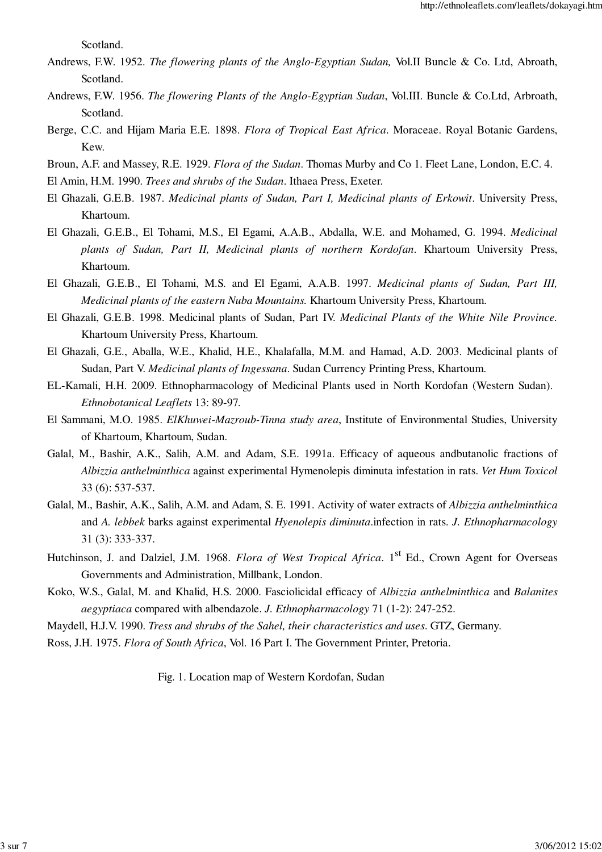Scotland.

- Andrews, F.W. 1952. *The flowering plants of the Anglo-Egyptian Sudan,* Vol.II Buncle & Co. Ltd, Abroath, Scotland.
- Andrews, F.W. 1956. *The flowering Plants of the Anglo-Egyptian Sudan*, Vol.III. Buncle & Co.Ltd, Arbroath, Scotland.
- Berge, C.C. and Hijam Maria E.E. 1898. *Flora of Tropical East Africa*. Moraceae. Royal Botanic Gardens, Kew.
- Broun, A.F. and Massey, R.E. 1929. *Flora of the Sudan*. Thomas Murby and Co 1. Fleet Lane, London, E.C. 4.
- El Amin, H.M. 1990. *Trees and shrubs of the Sudan*. Ithaea Press, Exeter.
- El Ghazali, G.E.B. 1987. *Medicinal plants of Sudan, Part I, Medicinal plants of Erkowit*. University Press, Khartoum.
- El Ghazali, G.E.B., El Tohami, M.S., El Egami, A.A.B., Abdalla, W.E. and Mohamed, G. 1994. *Medicinal plants of Sudan, Part II, Medicinal plants of northern Kordofan*. Khartoum University Press, Khartoum.
- El Ghazali, G.E.B., El Tohami, M.S. and El Egami, A.A.B. 1997. *Medicinal plants of Sudan, Part III, Medicinal plants of the eastern Nuba Mountains.* Khartoum University Press, Khartoum.
- El Ghazali, G.E.B. 1998. Medicinal plants of Sudan, Part IV. *Medicinal Plants of the White Nile Province.* Khartoum University Press, Khartoum.
- El Ghazali, G.E., Aballa, W.E., Khalid, H.E., Khalafalla, M.M. and Hamad, A.D. 2003. Medicinal plants of Sudan, Part V. *Medicinal plants of Ingessana*. Sudan Currency Printing Press, Khartoum.
- EL-Kamali, H.H. 2009. Ethnopharmacology of Medicinal Plants used in North Kordofan (Western Sudan). *Ethnobotanical Leaflets* 13: 89-97*.*
- El Sammani, M.O. 1985. *ElKhuwei-Mazroub-Tinna study area*, Institute of Environmental Studies, University of Khartoum, Khartoum, Sudan.
- Galal, M., Bashir, A.K., Salih, A.M. and Adam, S.E. 1991a. Efficacy of aqueous andbutanolic fractions of *Albizzia anthelminthica* against experimental Hymenolepis diminuta infestation in rats. *Vet Hum Toxicol* 33 (6): 537-537.
- Galal, M., Bashir, A.K., Salih, A.M. and Adam, S. E. 1991. Activity of water extracts of *Albizzia anthelminthica* and *A. lebbek* barks against experimental *Hyenolepis diminuta*.infection in rats. *J. Ethnopharmacology* 31 (3): 333-337.
- Hutchinson, J. and Dalziel, J.M. 1968. *Flora of West Tropical Africa*. 1<sup>st</sup> Ed., Crown Agent for Overseas Governments and Administration, Millbank, London.
- Koko, W.S., Galal, M. and Khalid, H.S. 2000. Fasciolicidal efficacy of *Albizzia anthelminthica* and *Balanites aegyptiaca* compared with albendazole. *J. Ethnopharmacology* 71 (1-2): 247-252.

Maydell, H.J.V. 1990. *Tress and shrubs of the Sahel, their characteristics and uses*. GTZ, Germany.

Ross, J.H. 1975. *Flora of South Africa*, Vol. 16 Part I. The Government Printer, Pretoria.

Fig. 1. Location map of Western Kordofan, Sudan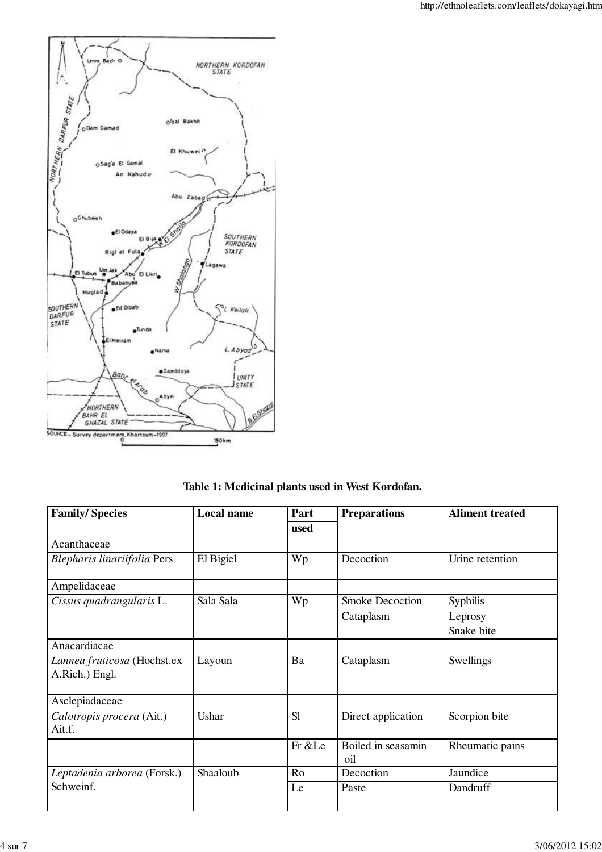

**Table 1: Medicinal plants used in West Kordofan.**

| <b>Family/Species</b>                         | <b>Local name</b> | Part       | <b>Preparations</b>       | <b>Aliment treated</b> |
|-----------------------------------------------|-------------------|------------|---------------------------|------------------------|
|                                               |                   | used       |                           |                        |
| Acanthaceae                                   |                   |            |                           |                        |
| Blepharis linariifolia Pers                   | El Bigiel         | Wp         | Decoction                 | Urine retention        |
| Ampelidaceae                                  |                   |            |                           |                        |
| Cissus quadrangularis L.                      | Sala Sala         | Wp         | <b>Smoke Decoction</b>    | <b>Syphilis</b>        |
|                                               |                   |            | Cataplasm                 | Leprosy                |
|                                               |                   |            |                           | Snake bite             |
| Anacardiacae                                  |                   |            |                           |                        |
| Lannea fruticosa (Hochst.ex<br>A.Rich.) Engl. | Layoun            | Ba         | Cataplasm                 | Swellings              |
| Asclepiadaceae                                |                   |            |                           |                        |
| Calotropis procera (Ait.)<br>Ait.f.           | Ushar             | <b>S</b> l | Direct application        | Scorpion bite          |
|                                               |                   | Fr &Le     | Boiled in seasamin<br>oil | Rheumatic pains        |
| Leptadenia arborea (Forsk.)<br>Schweinf.      | Shaaloub          | Ro         | Decoction                 | Jaundice               |
|                                               |                   | Le         | Paste                     | Dandruff               |
|                                               |                   |            |                           |                        |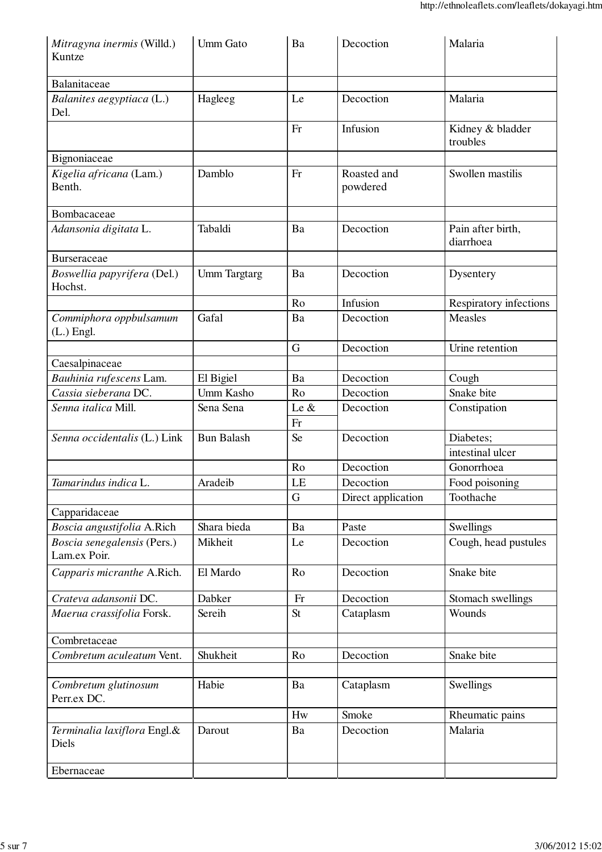| Mitragyna inermis (Willd.)<br>Kuntze        | <b>Umm</b> Gato     | Ba            | Decoction               | Malaria                        |
|---------------------------------------------|---------------------|---------------|-------------------------|--------------------------------|
| Balanitaceae                                |                     |               |                         |                                |
| Balanites aegyptiaca (L.)<br>Del.           | Hagleeg             | Le            | Decoction               | Malaria                        |
|                                             |                     | Fr            | Infusion                | Kidney & bladder<br>troubles   |
| Bignoniaceae                                |                     |               |                         |                                |
| Kigelia africana (Lam.)<br>Benth.           | Damblo              | Fr            | Roasted and<br>powdered | Swollen mastilis               |
| Bombacaceae                                 |                     |               |                         |                                |
| Adansonia digitata L.                       | Tabaldi             | Ba            | Decoction               | Pain after birth,<br>diarrhoea |
| <b>Burseraceae</b>                          |                     |               |                         |                                |
| Boswellia papyrifera (Del.)<br>Hochst.      | <b>Umm Targtarg</b> | Ba            | Decoction               | Dysentery                      |
|                                             |                     | Ro            | Infusion                | Respiratory infections         |
| Commiphora oppbulsamum<br>$(L.)$ Engl.      | Gafal               | Ba            | Decoction               | Measles                        |
|                                             |                     | $\mathbf G$   | Decoction               | Urine retention                |
| Caesalpinaceae                              |                     |               |                         |                                |
| Bauhinia rufescens Lam.                     | El Bigiel           | Ba            | Decoction               | Cough                          |
| Cassia sieberana DC.                        | Umm Kasho           | Ro            | Decoction               | Snake bite                     |
| Senna italica Mill.                         | Sena Sena           | Le $\&$<br>Fr | Decoction               | Constipation                   |
| Senna occidentalis (L.) Link                | <b>Bun Balash</b>   | Se            | Decoction               | Diabetes;                      |
|                                             |                     |               |                         | intestinal ulcer               |
|                                             |                     | Ro            | Decoction               | Gonorrhoea                     |
| Tamarindus indica L.                        | Aradeib             | LE            | Decoction               | Food poisoning                 |
|                                             |                     | G             | Direct application      | Toothache                      |
| Capparidaceae                               |                     |               |                         |                                |
| Boscia angustifolia A.Rich                  | Shara bieda         | Ba            | Paste                   | Swellings                      |
| Boscia senegalensis (Pers.)<br>Lam.ex Poir. | Mikheit             | Le            | Decoction               | Cough, head pustules           |
| Capparis micranthe A.Rich.                  | El Mardo            | Ro            | Decoction               | Snake bite                     |
| Crateva adansonii DC.                       | Dabker              | Fr            | Decoction               | Stomach swellings              |
| Maerua crassifolia Forsk.                   | Sereih              | <b>St</b>     | Cataplasm               | Wounds                         |
| Combretaceae                                |                     |               |                         |                                |
| Combretum aculeatum Vent.                   | Shukheit            | Ro            | Decoction               | Snake bite                     |
|                                             |                     |               |                         |                                |
| Combretum glutinosum<br>Perr.ex DC.         | Habie               | Ba            | Cataplasm               | Swellings                      |
|                                             |                     | Hw            | Smoke                   | Rheumatic pains                |
| Terminalia laxiflora Engl.&<br>Diels        | Darout              | Ba            | Decoction               | Malaria                        |
| Ebernaceae                                  |                     |               |                         |                                |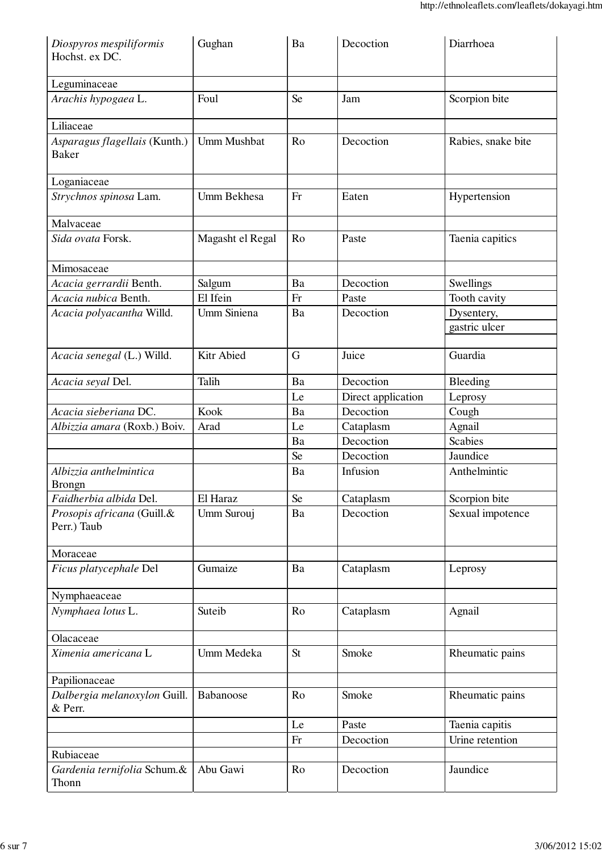| Diospyros mespiliformis<br>Hochst. ex DC.     | Gughan             | Ba        | Decoction          | Diarrhoea          |
|-----------------------------------------------|--------------------|-----------|--------------------|--------------------|
| Leguminaceae                                  |                    |           |                    |                    |
| Arachis hypogaea L.                           | Foul               | <b>Se</b> | Jam                | Scorpion bite      |
| Liliaceae                                     |                    |           |                    |                    |
| Asparagus flagellais (Kunth.)<br><b>Baker</b> | <b>Umm Mushbat</b> | Ro        | Decoction          | Rabies, snake bite |
| Loganiaceae                                   |                    |           |                    |                    |
| Strychnos spinosa Lam.                        | Umm Bekhesa        | Fr        | Eaten              | Hypertension       |
| Malvaceae                                     |                    |           |                    |                    |
| Sida ovata Forsk.                             | Magasht el Regal   | Ro        | Paste              | Taenia capitics    |
| Mimosaceae                                    |                    |           |                    |                    |
| Acacia gerrardii Benth.                       | Salgum             | Ba        | Decoction          | Swellings          |
| Acacia nubica Benth.                          | El Ifein           | Fr        | Paste              | Tooth cavity       |
| Acacia polyacantha Willd.                     | Umm Siniena        | Ba        | Decoction          | Dysentery,         |
|                                               |                    |           |                    | gastric ulcer      |
| Acacia senegal (L.) Willd.                    | Kitr Abied         | G         | Juice              | Guardia            |
|                                               |                    |           |                    |                    |
| Acacia seyal Del.                             | Talih              | Ba        | Decoction          | Bleeding           |
|                                               |                    | Le        | Direct application | Leprosy            |
| Acacia sieberiana DC.                         | Kook               | Ba        | Decoction          | Cough              |
| Albizzia amara (Roxb.) Boiv.                  | Arad               | Le        | Cataplasm          | Agnail             |
|                                               |                    | Ba        | Decoction          | Scabies            |
|                                               |                    | <b>Se</b> | Decoction          | Jaundice           |
| Albizzia anthelmintica<br><b>Brongn</b>       |                    | Ba        | Infusion           | Anthelmintic       |
| Faidherbia albida Del.                        | El Haraz           | Se        | Cataplasm          | Scorpion bite      |
| Prosopis africana (Guill.&                    | Umm Surouj         | Ba        | Decoction          | Sexual impotence   |
| Perr.) Taub                                   |                    |           |                    |                    |
| Moraceae                                      |                    |           |                    |                    |
| Ficus platycephale Del                        | Gumaize            | Ba        | Cataplasm          | Leprosy            |
| Nymphaeaceae                                  |                    |           |                    |                    |
| Nymphaea lotus L.                             | Suteib             | Ro        | Cataplasm          | Agnail             |
| Olacaceae                                     |                    |           |                    |                    |
| Ximenia americana L                           | Umm Medeka         | <b>St</b> | Smoke              | Rheumatic pains    |
| Papilionaceae                                 |                    |           |                    |                    |
| Dalbergia melanoxylon Guill.<br>& Perr.       | Babanoose          | Ro        | Smoke              | Rheumatic pains    |
|                                               |                    | Le        | Paste              | Taenia capitis     |
|                                               |                    | Fr        | Decoction          | Urine retention    |
| Rubiaceae                                     |                    |           |                    |                    |
| Gardenia ternifolia Schum.&<br>Thonn          | Abu Gawi           | Ro        | Decoction          | Jaundice           |